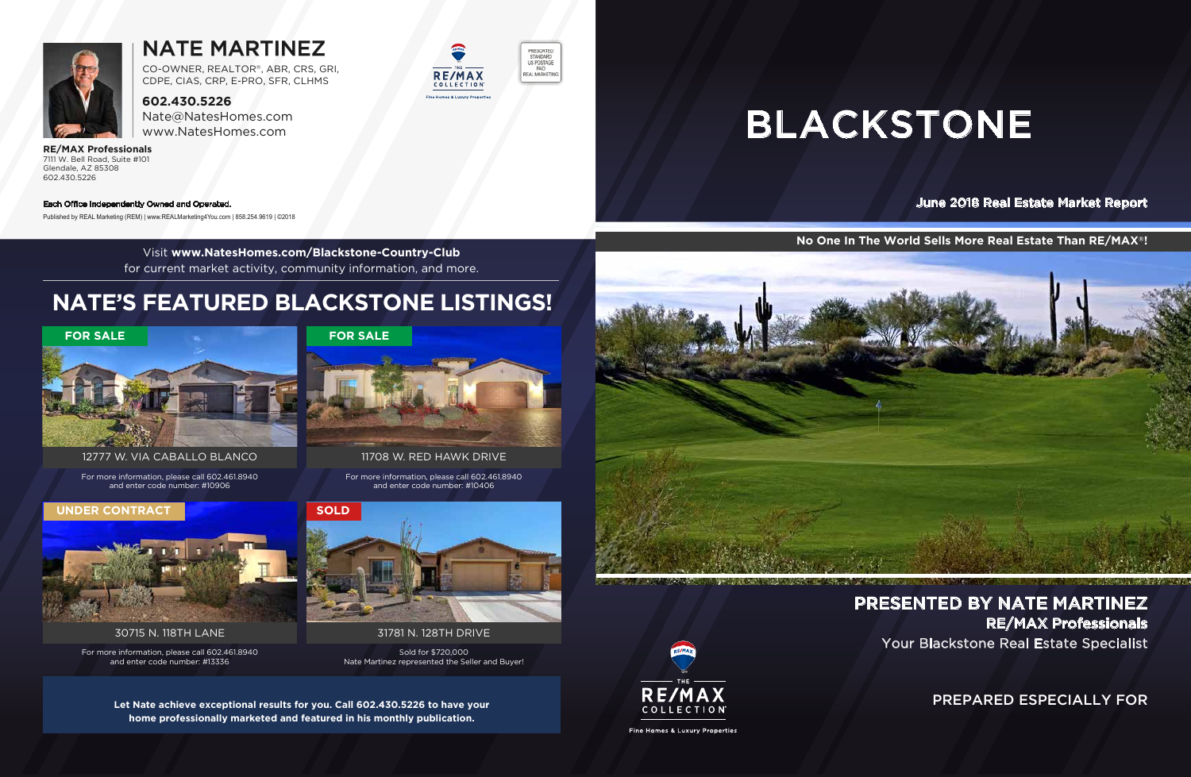PREPARED ESPECIALLY FOR

Your Blackstone Real Estate Specialist PRESENTED BY NATE MARTINEZ RE/MAX Professionals

June 2018 Real Estate Market Report

# BLACKSTONE



## NATE MARTINEZ

**602.430.5226** Nate@NatesHomes.com www.NatesHomes.com

#### **RE/MAX Professionals** 7111 W. Bell Road, Suite #101 Glendale, AZ 85308 602.430.5226

CO-OWNER, REALTOR®, ABR, CRS, GRI, CDPE, CIAS, CRP, E-PRO, SFR, CLHMS

**No One In The World Sells More Real Estate Than RE/MAX®!**



#### Each Office Independently Owned and Operated.

Published by REAL Marketing (REM) | www.REALMarketing4You.com | 858.254.9619 | ©2018

Visit **www.NatesHomes.com/Blackstone-Country-Club** for current market activity, community information, and more.

**Let Nate achieve exceptional results for you. Call 602.430.5226 to have your home professionally marketed and featured in his monthly publication.**





Fine Homes & Luxury Properties

## **NATE'S FEATURED BLACKSTONE LISTINGS!**

For more information, please call 602.461.8940 and enter code number: #10406

11708 W. RED HAWK DRIVE



**RE/MAX** 

COLLECTION **C. & Luxury Properti** 

PRESORTED STANDARD<br>US POSTAGE PAID

REAL MARKETING

For more information, please call 602.461.8940 and enter code number: #10906

12777 W. VIA CABALLO BLANCO



For more information, please call 602.461.8940 and enter code number: #13336



30715 N. 118TH LANE

#### **UNDER CONTRACT**

Sold for \$720,000 Nate Martinez represented the Seller and Buyer!

31781 N. 128TH DRIVE